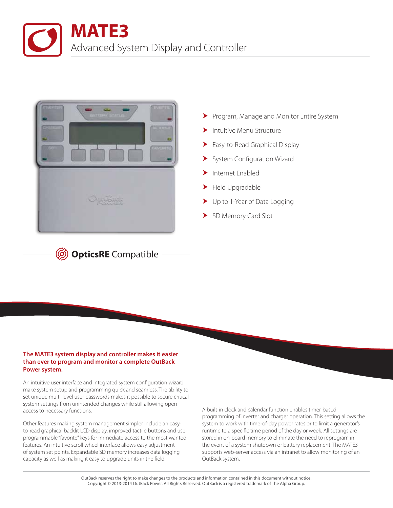



**<sup>5</sup> OpticsRE** Compatible by

- Program, Manage and Monitor Entire System
- Intuitive Menu Structure
- Easy-to-Read Graphical Display
- System Configuration Wizard
- $\blacktriangleright$  Internet Enabled
- Field Upgradable
- Dup to 1-Year of Data Logging
- > SD Memory Card Slot

## **The MATE3 system display and controller makes it easier than ever to program and monitor a complete OutBack Power system.**

An intuitive user interface and integrated system configuration wizard make system setup and programming quick and seamless. The ability to set unique multi-level user passwords makes it possible to secure critical system settings from unintended changes while still allowing open access to necessary functions.

Other features making system management simpler include an easyto-read graphical backlit LCD display, improved tactile buttons and user programmable "favorite" keys for immediate access to the most wanted features. An intuitive scroll wheel interface allows easy adjustment of system set points. Expandable SD memory increases data logging capacity as well as making it easy to upgrade units in the field.

A built-in clock and calendar function enables timer-based programming of inverter and charger operation. This setting allows the system to work with time-of-day power rates or to limit a generator's runtime to a specific time period of the day or week. All settings are stored in on-board memory to eliminate the need to reprogram in the event of a system shutdown or battery replacement. The MATE3 supports web-server access via an intranet to allow monitoring of an OutBack system.

OutBack reserves the right to make changes to the products and information contained in this document without notice. Copyright © 2013-2014 OutBack Power. All Rights Reserved. OutBack is a registered trademark of The Alpha Group.